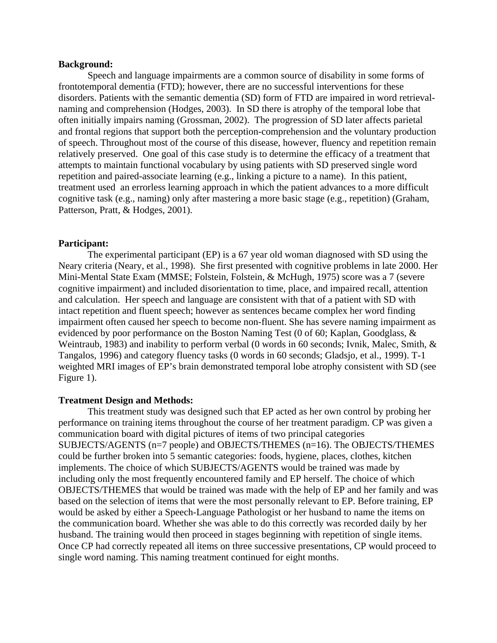#### **Background:**

Speech and language impairments are a common source of disability in some forms of frontotemporal dementia (FTD); however, there are no successful interventions for these disorders. Patients with the semantic dementia (SD) form of FTD are impaired in word retrievalnaming and comprehension (Hodges, 2003). In SD there is atrophy of the temporal lobe that often initially impairs naming (Grossman, 2002). The progression of SD later affects parietal and frontal regions that support both the perception-comprehension and the voluntary production of speech. Throughout most of the course of this disease, however, fluency and repetition remain relatively preserved. One goal of this case study is to determine the efficacy of a treatment that attempts to maintain functional vocabulary by using patients with SD preserved single word repetition and paired-associate learning (e.g., linking a picture to a name). In this patient, treatment used an errorless learning approach in which the patient advances to a more difficult cognitive task (e.g., naming) only after mastering a more basic stage (e.g., repetition) (Graham, Patterson, Pratt, & Hodges, 2001).

#### **Participant:**

The experimental participant (EP) is a 67 year old woman diagnosed with SD using the Neary criteria (Neary, et al., 1998). She first presented with cognitive problems in late 2000. Her Mini-Mental State Exam (MMSE; Folstein, Folstein, & McHugh, 1975) score was a 7 (severe cognitive impairment) and included disorientation to time, place, and impaired recall, attention and calculation. Her speech and language are consistent with that of a patient with SD with intact repetition and fluent speech; however as sentences became complex her word finding impairment often caused her speech to become non-fluent. She has severe naming impairment as evidenced by poor performance on the Boston Naming Test (0 of 60; Kaplan, Goodglass, & Weintraub, 1983) and inability to perform verbal (0 words in 60 seconds; Ivnik, Malec, Smith, & Tangalos, 1996) and category fluency tasks (0 words in 60 seconds; Gladsjo, et al., 1999). T-1 weighted MRI images of EP's brain demonstrated temporal lobe atrophy consistent with SD (see Figure 1).

#### **Treatment Design and Methods:**

 This treatment study was designed such that EP acted as her own control by probing her performance on training items throughout the course of her treatment paradigm. CP was given a communication board with digital pictures of items of two principal categories SUBJECTS/AGENTS (n=7 people) and OBJECTS/THEMES (n=16). The OBJECTS/THEMES could be further broken into 5 semantic categories: foods, hygiene, places, clothes, kitchen implements. The choice of which SUBJECTS/AGENTS would be trained was made by including only the most frequently encountered family and EP herself. The choice of which OBJECTS/THEMES that would be trained was made with the help of EP and her family and was based on the selection of items that were the most personally relevant to EP. Before training, EP would be asked by either a Speech-Language Pathologist or her husband to name the items on the communication board. Whether she was able to do this correctly was recorded daily by her husband. The training would then proceed in stages beginning with repetition of single items. Once CP had correctly repeated all items on three successive presentations, CP would proceed to single word naming. This naming treatment continued for eight months.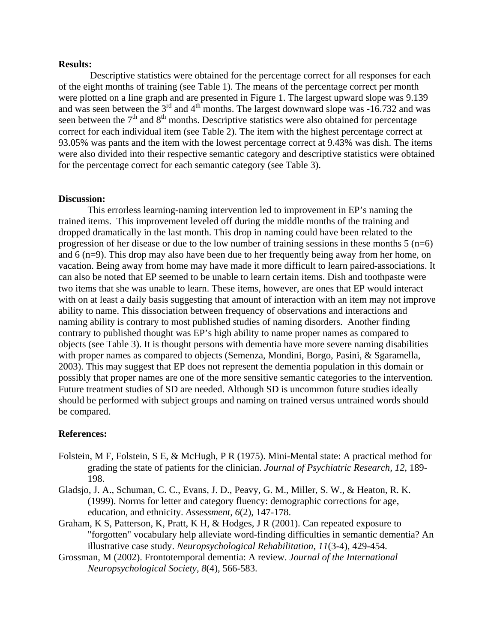#### **Results:**

 Descriptive statistics were obtained for the percentage correct for all responses for each of the eight months of training (see Table 1). The means of the percentage correct per month were plotted on a line graph and are presented in Figure 1. The largest upward slope was 9.139 and was seen between the  $3<sup>rd</sup>$  and  $4<sup>th</sup>$  months. The largest downward slope was -16.732 and was seen between the  $7<sup>th</sup>$  and  $8<sup>th</sup>$  months. Descriptive statistics were also obtained for percentage correct for each individual item (see Table 2). The item with the highest percentage correct at 93.05% was pants and the item with the lowest percentage correct at 9.43% was dish. The items were also divided into their respective semantic category and descriptive statistics were obtained for the percentage correct for each semantic category (see Table 3).

#### **Discussion:**

 This errorless learning-naming intervention led to improvement in EP's naming the trained items. This improvement leveled off during the middle months of the training and dropped dramatically in the last month. This drop in naming could have been related to the progression of her disease or due to the low number of training sessions in these months 5 (n=6) and 6 (n=9). This drop may also have been due to her frequently being away from her home, on vacation. Being away from home may have made it more difficult to learn paired-associations. It can also be noted that EP seemed to be unable to learn certain items. Dish and toothpaste were two items that she was unable to learn. These items, however, are ones that EP would interact with on at least a daily basis suggesting that amount of interaction with an item may not improve ability to name. This dissociation between frequency of observations and interactions and naming ability is contrary to most published studies of naming disorders. Another finding contrary to published thought was EP's high ability to name proper names as compared to objects (see Table 3). It is thought persons with dementia have more severe naming disabilities with proper names as compared to objects (Semenza, Mondini, Borgo, Pasini, & Sgaramella, 2003). This may suggest that EP does not represent the dementia population in this domain or possibly that proper names are one of the more sensitive semantic categories to the intervention. Future treatment studies of SD are needed. Although SD is uncommon future studies ideally should be performed with subject groups and naming on trained versus untrained words should be compared.

#### **References:**

- Folstein, M F, Folstein, S E, & McHugh, P R (1975). Mini-Mental state: A practical method for grading the state of patients for the clinician. *Journal of Psychiatric Research, 12*, 189- 198.
- Gladsjo, J. A., Schuman, C. C., Evans, J. D., Peavy, G. M., Miller, S. W., & Heaton, R. K. (1999). Norms for letter and category fluency: demographic corrections for age, education, and ethnicity. *Assessment, 6*(2), 147-178.
- Graham, K S, Patterson, K, Pratt, K H, & Hodges, J R (2001). Can repeated exposure to "forgotten" vocabulary help alleviate word-finding difficulties in semantic dementia? An illustrative case study. *Neuropsychological Rehabilitation, 11*(3-4), 429-454.
- Grossman, M (2002). Frontotemporal dementia: A review. *Journal of the International Neuropsychological Society, 8*(4), 566-583.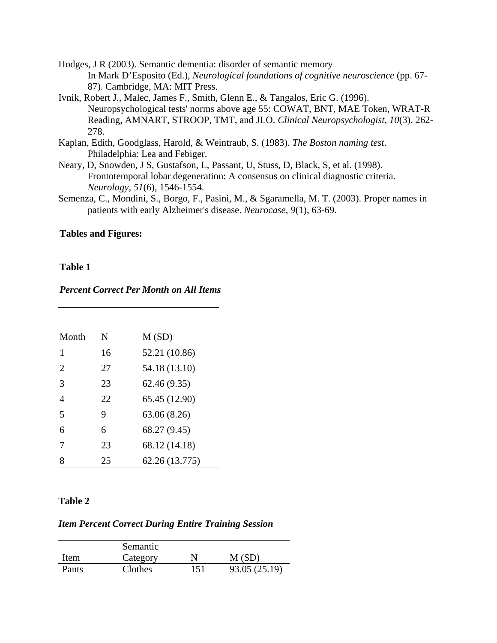- Hodges, J R (2003). Semantic dementia: disorder of semantic memory In Mark D'Esposito (Ed.), *Neurological foundations of cognitive neuroscience* (pp. 67- 87). Cambridge, MA: MIT Press.
- Ivnik, Robert J., Malec, James F., Smith, Glenn E., & Tangalos, Eric G. (1996). Neuropsychological tests' norms above age 55: COWAT, BNT, MAE Token, WRAT-R Reading, AMNART, STROOP, TMT, and JLO. *Clinical Neuropsychologist, 10*(3), 262- 278.
- Kaplan, Edith, Goodglass, Harold, & Weintraub, S. (1983). *The Boston naming test*. Philadelphia: Lea and Febiger.
- Neary, D, Snowden, J S, Gustafson, L, Passant, U, Stuss, D, Black, S, et al. (1998). Frontotemporal lobar degeneration: A consensus on clinical diagnostic criteria. *Neurology, 51*(6), 1546-1554.
- Semenza, C., Mondini, S., Borgo, F., Pasini, M., & Sgaramella, M. T. (2003). Proper names in patients with early Alzheimer's disease. *Neurocase, 9*(1), 63-69.

#### **Tables and Figures:**

#### **Table 1**

#### *Percent Correct Per Month on All Items*

| Month          | N   | M(SD)          |
|----------------|-----|----------------|
| 1              | 16  | 52.21 (10.86)  |
| 2              | 27  | 54.18 (13.10)  |
| 3              | 23  | 62.46 (9.35)   |
| $\overline{4}$ | 22. | 65.45 (12.90)  |
| 5              | 9   | 63.06 (8.26)   |
| 6              | 6   | 68.27 (9.45)   |
| 7              | 23  | 68.12 (14.18)  |
| 8              | 25  | 62.26 (13.775) |

### **Table 2**

## *Item Percent Correct During Entire Training Session*

|       | Semantic |     |               |
|-------|----------|-----|---------------|
| Item  | Category | N   | M(SD)         |
| Pants | Clothes  | 151 | 93.05 (25.19) |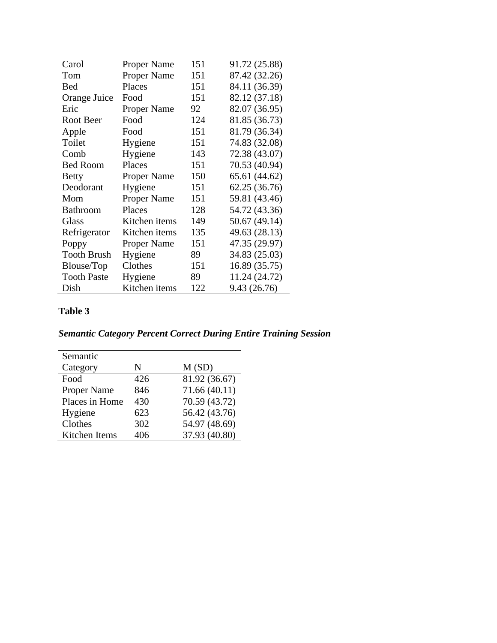| Carol              | <b>Proper Name</b> | 151 | 91.72 (25.88) |
|--------------------|--------------------|-----|---------------|
| Tom                | <b>Proper Name</b> | 151 | 87.42 (32.26) |
| <b>Bed</b>         | Places             | 151 | 84.11 (36.39) |
| Orange Juice       | Food               | 151 | 82.12 (37.18) |
| Eric               | <b>Proper Name</b> | 92  | 82.07 (36.95) |
| Root Beer          | Food               | 124 | 81.85 (36.73) |
| Apple              | Food               | 151 | 81.79 (36.34) |
| Toilet             | Hygiene            | 151 | 74.83 (32.08) |
| Comb               | Hygiene            | 143 | 72.38 (43.07) |
| <b>Bed Room</b>    | Places             | 151 | 70.53 (40.94) |
| <b>Betty</b>       | <b>Proper Name</b> | 150 | 65.61 (44.62) |
| Deodorant          | Hygiene            | 151 | 62.25 (36.76) |
| Mom                | Proper Name        | 151 | 59.81 (43.46) |
| <b>Bathroom</b>    | Places             | 128 | 54.72 (43.36) |
| Glass              | Kitchen items      | 149 | 50.67 (49.14) |
| Refrigerator       | Kitchen items      | 135 | 49.63 (28.13) |
| Poppy              | <b>Proper Name</b> | 151 | 47.35 (29.97) |
| <b>Tooth Brush</b> | Hygiene            | 89  | 34.83 (25.03) |
| Blouse/Top         | Clothes            | 151 | 16.89 (35.75) |
| <b>Tooth Paste</b> | Hygiene            | 89  | 11.24 (24.72) |
| Dish               | Kitchen items      | 122 | 9.43 (26.76)  |

## **Table 3**

# *Semantic Category Percent Correct During Entire Training Session*

| Semantic           |     |               |
|--------------------|-----|---------------|
| Category           | N   | M(SD)         |
| Food               | 426 | 81.92 (36.67) |
| <b>Proper Name</b> | 846 | 71.66(40.11)  |
| Places in Home     | 430 | 70.59 (43.72) |
| Hygiene            | 623 | 56.42 (43.76) |
| Clothes            | 302 | 54.97 (48.69) |
| Kitchen Items      | 406 | 37.93 (40.80) |